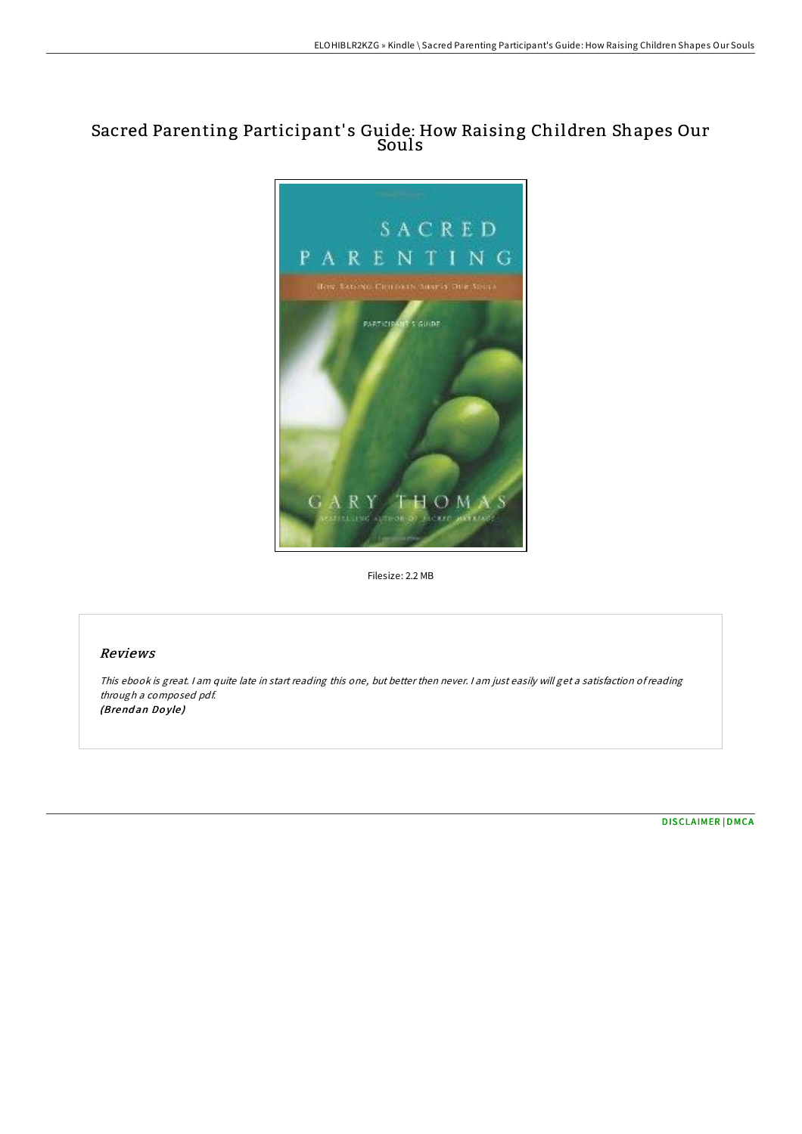# Sacred Parenting Participant' s Guide: How Raising Children Shapes Our Souls



Filesize: 2.2 MB

### Reviews

This ebook is great. <sup>I</sup> am quite late in start reading this one, but better then never. <sup>I</sup> am just easily will get <sup>a</sup> satisfaction ofreading through <sup>a</sup> composed pdf. (Brendan Doyle)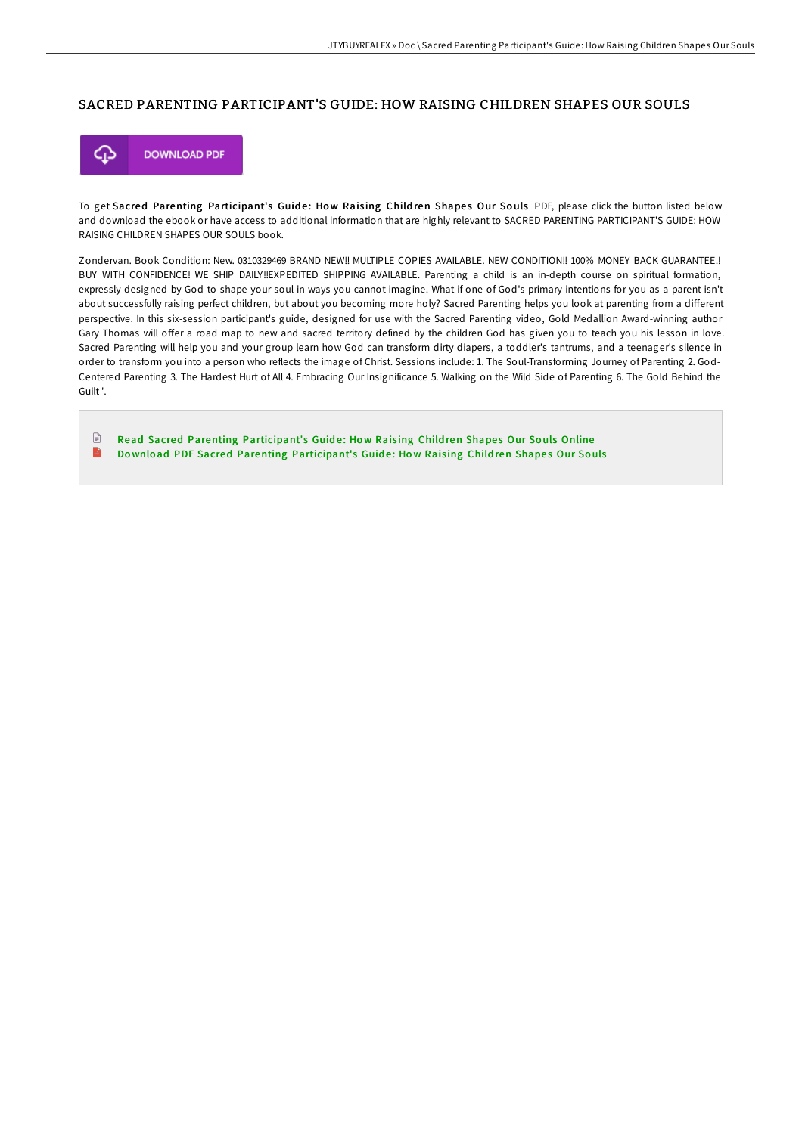#### SACRED PARENTING PARTICIPANT'S GUIDE: HOW RAISING CHILDREN SHAPES OUR SOULS



To get Sacred Parenting Participant's Guide: How Raising Children Shapes Our Souls PDF, please click the button listed below and download the ebook or have access to additional information that are highly relevant to SACRED PARENTING PARTICIPANT'S GUIDE: HOW RAISING CHILDREN SHAPES OUR SOULS book.

Zondervan. Book Condition: New. 0310329469 BRAND NEW!! MULTIPLE COPIES AVAILABLE. NEW CONDITION!! 100% MONEY BACK GUARANTEE!! BUY WITH CONFIDENCE! WE SHIP DAILY!!EXPEDITED SHIPPING AVAILABLE. Parenting a child is an in-depth course on spiritual formation, expressly designed by God to shape your soul in ways you cannot imagine. What if one of God's primary intentions for you as a parent isn't about successfully raising perfect children, but about you becoming more holy? Sacred Parenting helps you look at parenting from a different perspective. In this six-session participant's guide, designed for use with the Sacred Parenting video, Gold Medallion Award-winning author Gary Thomas will offer a road map to new and sacred territory defined by the children God has given you to teach you his lesson in love. Sacred Parenting will help you and your group learn how God can transform dirty diapers, a toddler's tantrums, and a teenager's silence in order to transform you into a person who reflects the image of Christ. Sessions include: 1. The Soul-Transforming Journey of Parenting 2. God-Centered Parenting 3. The Hardest Hurt of All 4. Embracing Our Insignificance 5. Walking on the Wild Side of Parenting 6. The Gold Behind the Guilt '.

 $\begin{tabular}{|c|c|} \hline \multicolumn{3}{|c|}{\textbf{1}} & \multicolumn{3}{|c|}{\textbf{2}} \\ \hline \multicolumn{3}{|c|}{\textbf{3}} & \multicolumn{3}{|c|}{\textbf{4}} \\ \hline \multicolumn{3}{|c|}{\textbf{5}} & \multicolumn{3}{|c|}{\textbf{6}} \\ \hline \multicolumn{3}{|c|}{\textbf{6}} & \multicolumn{3}{|c|}{\textbf{7}} \\ \hline \multicolumn{3}{|c|}{\textbf{6}} & \multicolumn{3}{|c|}{\textbf{7}} \\ \hline \multicolumn{3}{|c|$ Read Sacred Parenting [Participant's](http://almighty24.tech/sacred-parenting-participant-x27-s-guide-how-rai.html) Guide: How Raising Children Shapes Our Souls Online  $\blacktriangleright$ Download PDF Sacred Parenting [Participant's](http://almighty24.tech/sacred-parenting-participant-x27-s-guide-how-rai.html) Guide: How Raising Children Shapes Our Souls